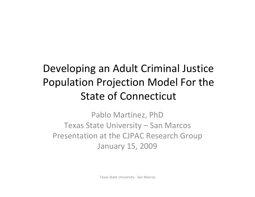#### Developing an Adult Criminal Justice Population Projection Model For the State of Connecticut

Pablo Martinez, PhD Texas State University – San Marcos Presentation at the CJPAC Research Group January 15, 2009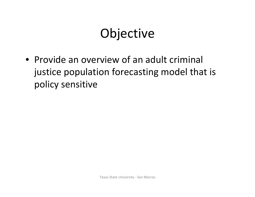### **Objective**

• Provide an overview of an adult criminal justice population forecasting model that is policy sensitive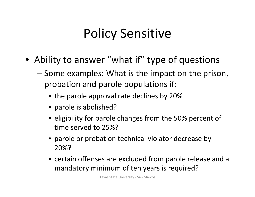## Policy Sensitive

- Ability to answer "what if" type of questions
	- Some examples: What is the impact on the prison, probation and parole populations if:
		- the parole approval rate declines by 20%
		- parole is abolished?
		- eligibility for parole changes from the 50% percent of time served to 25%?
		- parole or probation technical violator decrease by 20%?
		- certain offenses are excluded from parole release and <sup>a</sup> mandatory minimum of ten years is required?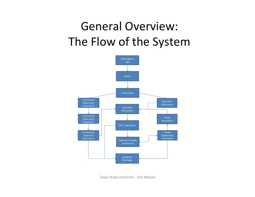#### General Overview: The Flow of the System

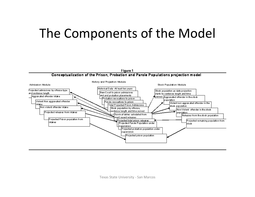#### The Components of the Model

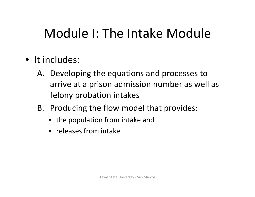### Module I: The Intake Module

- It includes:
	- A. Developing the equations and processes to arrive at <sup>a</sup> prison admission number as well as felony probation intakes
	- B. Producing the flow model that provides:
		- the population from intake and
		- releases from intake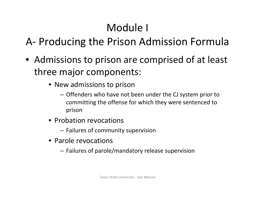#### Module I

#### A‐ Producing the Prison Admission Formula

- Admissions to prison are comprised of at least three major components:
	- New admissions to prison
		- Offenders who have not been under the CJ system prior to committing the offense for which they were sentenced to prison
	- Probation revocations
		- Failures of community supervision
	- Parole revocations
		- Failures of parole/mandatory release supervision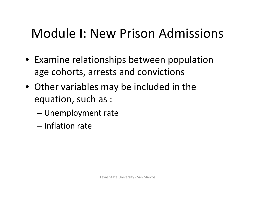#### Module I: New Prison Admissions

- Examine relationships between population age cohorts, arrests and convictions
- Other variables may be included in the equation, such as :
	- Unemployment rate
	- Inflation rate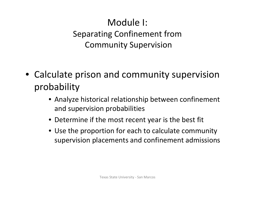#### Module I: Separating Confinement from Community Supervision

- Calculate prison and community supervision probability
	- Analyze historical relationship between confinement and supervision probabilities
	- Determine if the most recent year is the best fit
	- Use the proportion for each to calculate community supervision placements and confinement admissions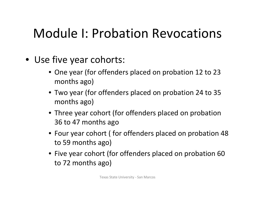#### Module I: Probation Revocations

- Use five year cohorts:
	- One year (for offenders placed on probation 12 to 23 months ago)
	- Two year (for offenders placed on probation 24 to 35 months ago)
	- Three year cohort (for offenders placed on probation 36 to 47 months ago
	- Four year cohort ( for offenders placed on probation 48 to 59 months ago)
	- Five year cohort (for offenders placed on probation 60 to 72 months ago)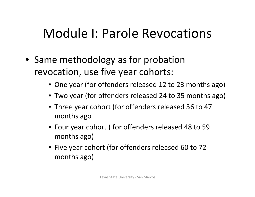#### Module I: Parole Revocations

- Same methodology as for probation revocation, use five year cohorts:
	- One year (for offenders released 12 to 23 months ago)
	- Two year (for offenders released 24 to 35 months ago)
	- Three year cohort (for offenders released 36 to 47 months ago
	- Four year cohort ( for offenders released 48 to 59 months ago)
	- Five year cohort (for offenders released 60 to 72 months ago)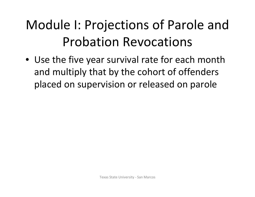# Module I: Projections of Parole and Probation Revocations

• Use the five year survival rate for each month and multiply that by the cohort of offenders placed on supervision or released on parole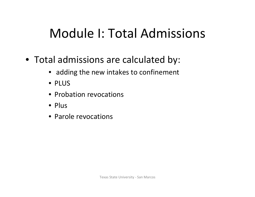### Module I: Total Admissions

- Total admissions are calculated by:
	- adding the new intakes to confinement
	- PLUS
	- Probation revocations
	- Plus
	- Parole revocations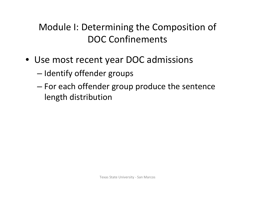#### Module I: Determining the Composition of DOC Confinements

- Use most recent year DOC admissions
	- Identify offender groups
	- For each offender group produce the sentence length distribution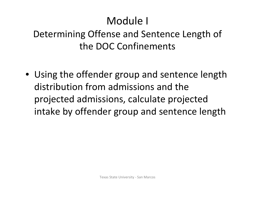#### Module I

Determining Offense and Sentence Length of the DOC Confinements

• Using the offender group and sentence length distribution from admissions and the projected admissions, calculate projected intake by offender group and sentence length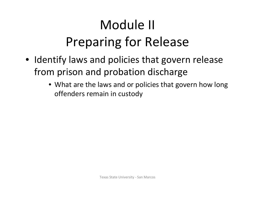# Module II Preparing for Release

- Identify laws and policies that govern release from prison and probation discharge
	- What are the laws and or policies that govern how long offenders remain in custody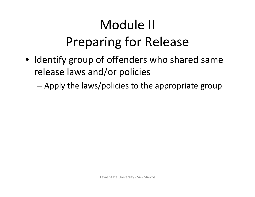# Module II Preparing for Release

- Identify group of offenders who shared same release laws and/or policies
	- Apply the laws/policies to the appropriate group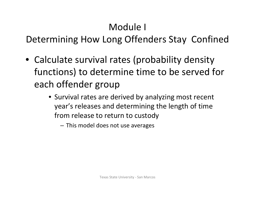#### Module I

Determining How Long Offenders Stay Confined

- Calculate survival rates (probability density functions) to determine time to be served for each offender group
	- Survival rates are derived by analyzing most recent year's releases and determining the length of time from release to return to custody

– This model does not use averages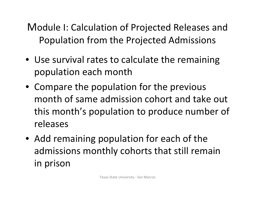Module I: Calculation of Projected Releases and Population from the Projected Admissions

- Use survival rates to calculate the remaining population each month
- Compare the population for the previous month of same admission cohort and take out this month's population to produce number of releases
- Add remaining population for each of the admissions monthly cohorts that still remain in prison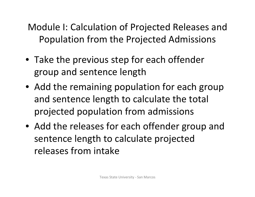Module I: Calculation of Projected Releases and Population from the Projected Admissions

- Take the previous step for each offender group and sentence length
- Add the remaining population for each group and sentence length to calculate the total projected population from admissions
- Add the releases for each offender group and sentence length to calculate projected releases from intake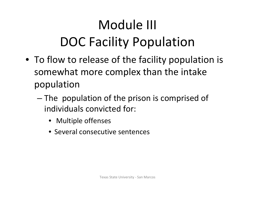# Module III DOC Facility Population

- To flow to release of the facility population is somewhat more complex than the intake population
	- The population of the prison is comprised of individuals convicted for:
		- Multiple offenses
		- Several consecutive sentences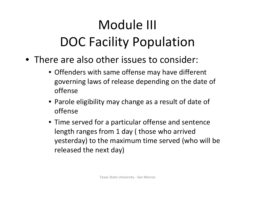# Module III DOC Facility Population

- There are also other issues to consider:
	- Offenders with same offense may have different governing laws of release depending on the date of offense
	- Parole eligibility may change as <sup>a</sup> result of date of offense
	- Time served for <sup>a</sup> particular offense and sentence length ranges from 1 day ( those who arrived yesterday) to the maximum time served (who will be released the next day)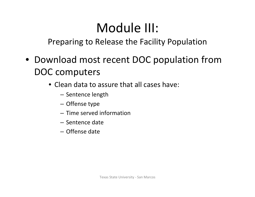#### Module III:

Preparing to Release the Facility Population

- Download most recent DOC population from DOC computers
	- Clean data to assure that all cases have:
		- Sentence length
		- Offense type
		- Time served information
		- Sentence date
		- Offense date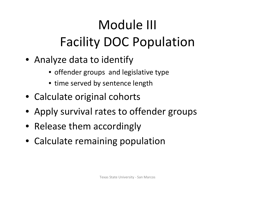# Module III Facility DOC Population

- Analyze data to identify
	- offender groups and legislative type
	- time served by sentence length
- Calculate original cohorts
- Apply survival rates to offender groups
- Release them accordingly
- Calculate remaining population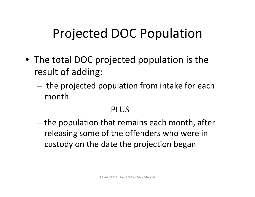### Projected DOC Population

- The total DOC projected population is the result of adding:
	- the projected population from intake for each month

#### PLUS

– the population that remains each month, after releasing some of the offenders who were in custody on the date the projection began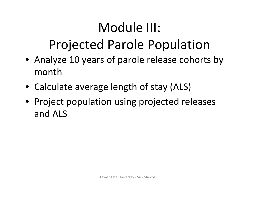### Module III:

#### Projected Parole Population

- Analyze 10 years of parole release cohorts by month
- Calculate average length of stay (ALS)
- Project population using projected releases and ALS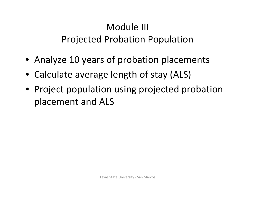#### Module III Projected Probation Population

- Analyze 10 years of probation placements
- Calculate average length of stay (ALS)
- Project population using projected probation placement and ALS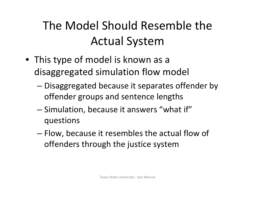#### The Model Should Resemble the Actual System

- This type of model is known as <sup>a</sup> disaggregated simulation flow model
	- Disaggregated because it separates offender by offender groups and sentence lengths
	- Simulation, because it answers "what if" questions
	- Flow, because it resembles the actual flow of offenders through the justice system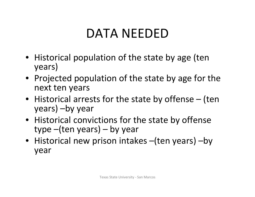#### DATA NEEDED

- Historical population of the state by age (ten years)
- Projected population of the state by age for the next ten years
- Historical arrests for the state by offense (ten years) –by year
- Historical convictions for the state by offense type –(ten years) – by year
- Historical new prison intakes –(ten years) –by year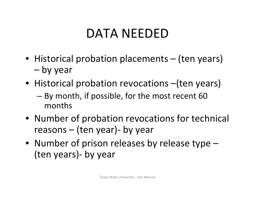#### DATA NEEDED

- Historical probation placements (ten years) –by year
- Historical probation revocations (ten years) – By month, if possible, for the most recent 60 months
- Number of probation revocations for technical reasons – (ten year)‐ by year
- Number of prison releases by release type (ten years)‐ by year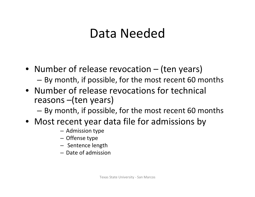#### Data Needed

- Number of release revocation (ten years) – By month, if possible, for the most recent 60 months
- Number of release revocations for technical reasons –(ten years)
	- By month, if possible, for the most recent 60 months
- Most recent year data file for admissions by
	- Admission type
	- Offense type
	- Sentence length
	- Date of admission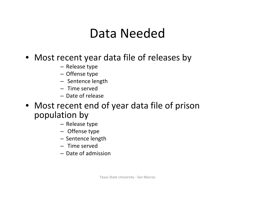#### Data Needed

#### • Most recent year data file of releases by

- Release type
- Offense type
- Sentence length
- Time served
- Date of release
- Most recent end of year data file of prison population by
	- Release type
	- Offense type
	- Sentence length
	- Time served
	- Date of admission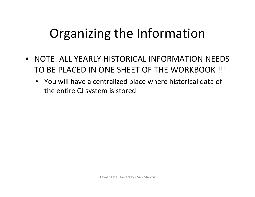## Organizing the Information

- NOTE: ALL YEARLY HISTORICAL INFORMATION NEEDS TO BE PLACED IN ONE SHEET OF THE WORKBOOK !!!
	- You will have <sup>a</sup> centralized place where historical data of the entire CJ system is stored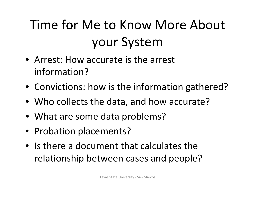# Time for Me to Know More About your System

- Arrest: How accurate is the arrest information?
- Convictions: how is the information gathered?
- Who collects the data, and how accurate?
- What are some data problems?
- Probation placements?
- Is there <sup>a</sup> document that calculates the relationship between cases and people?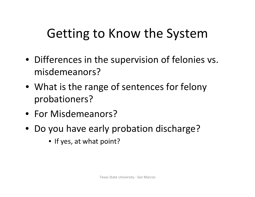- Differences in the supervision of felonies vs. misdemeanors?
- What is the range of sentences for felony probationers?
- For Misdemeanors?
- Do you have early probation discharge?
	- If yes, at what point?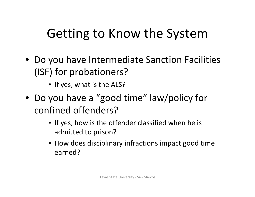- Do you have Intermediate Sanction Facilities (ISF) for probationers?
	- If yes, what is the ALS?
- Do you have <sup>a</sup> "good time" law/policy for confined offenders?
	- If yes, how is the offender classified when he is admitted to prison?
	- How does disciplinary infractions impact good time earned?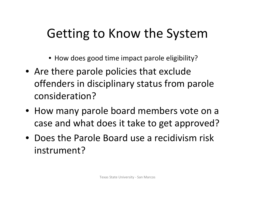- How does good time impact parole eligibility?
- Are there parole policies that exclude offenders in disciplinary status from parole consideration?
- How many parole board members vote on <sup>a</sup> case and what does it take to get approved?
- Does the Parole Board use <sup>a</sup> recidivism risk instrument?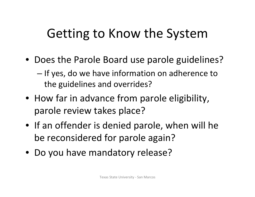- Does the Parole Board use parole guidelines?
	- If yes, do we have information on adherence to the guidelines and overrides?
- How far in advance from parole eligibility, parole review takes place?
- If an offender is denied parole, when will he be reconsidered for parole again?
- Do you have mandatory release?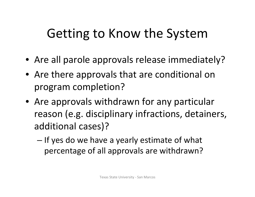- Are all parole approvals release immediately?
- Are there approvals that are conditional on program completion?
- Are approvals withdrawn for any particular reason (e.g. disciplinary infractions, detainers, additional cases)?
	- If yes do we have <sup>a</sup> yearly estimate of what percentage of all approvals are withdrawn?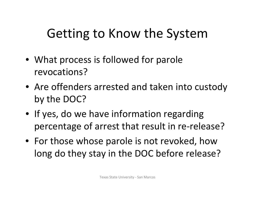- What process is followed for parole revocations?
- Are offenders arrested and taken into custody by the DOC?
- If yes, do we have information regarding percentage of arrest that result in re‐release?
- For those whose parole is not revoked, how long do they stay in the DOC before release?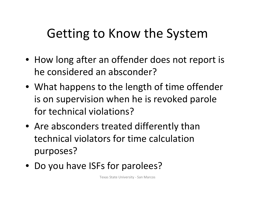- How long after an offender does not report is he considered an absconder?
- What happens to the length of time offender is on supervision when he is revoked parole for technical violations?
- Are absconders treated differently than technical violators for time calculationpurposes?
- Do you have ISFs for parolees?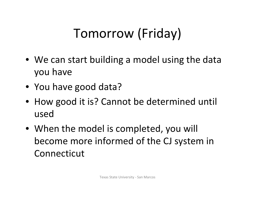# Tomorrow (Friday)

- We can start building <sup>a</sup> model using the data you have
- You have good data?
- How good it is? Cannot be determined until used
- When the model is completed, you will become more informed of the CJ system in Connecticut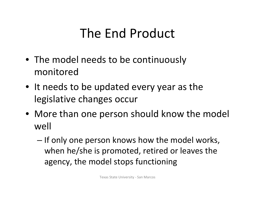#### The End Product

- The model needs to be continuously monitored
- It needs to be updated every year as the legislative changes occur
- More than one person should know the model well
	- If only one person knows how the model works, when he/she is promoted, retired or leaves the agency, the model stops functioning